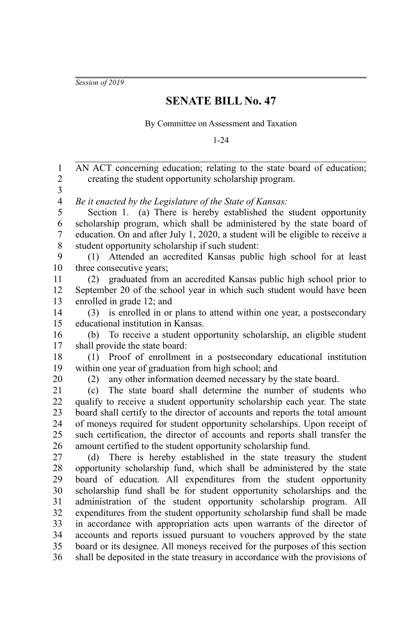*Session of 2019*

## **SENATE BILL No. 47**

By Committee on Assessment and Taxation

1-24

AN ACT concerning education; relating to the state board of education; creating the student opportunity scholarship program. *Be it enacted by the Legislature of the State of Kansas:* Section 1. (a) There is hereby established the student opportunity scholarship program, which shall be administered by the state board of education. On and after July 1, 2020, a student will be eligible to receive a student opportunity scholarship if such student: (1) Attended an accredited Kansas public high school for at least three consecutive years; (2) graduated from an accredited Kansas public high school prior to September 20 of the school year in which such student would have been enrolled in grade 12; and (3) is enrolled in or plans to attend within one year, a postsecondary educational institution in Kansas. (b) To receive a student opportunity scholarship, an eligible student shall provide the state board: (1) Proof of enrollment in a postsecondary educational institution within one year of graduation from high school; and (2) any other information deemed necessary by the state board. (c) The state board shall determine the number of students who qualify to receive a student opportunity scholarship each year. The state board shall certify to the director of accounts and reports the total amount of moneys required for student opportunity scholarships. Upon receipt of such certification, the director of accounts and reports shall transfer the amount certified to the student opportunity scholarship fund. (d) There is hereby established in the state treasury the student opportunity scholarship fund, which shall be administered by the state board of education. All expenditures from the student opportunity scholarship fund shall be for student opportunity scholarships and the administration of the student opportunity scholarship program. All expenditures from the student opportunity scholarship fund shall be made in accordance with appropriation acts upon warrants of the director of accounts and reports issued pursuant to vouchers approved by the state board or its designee. All moneys received for the purposes of this section shall be deposited in the state treasury in accordance with the provisions of 1 2 3 4 5 6 7 8 9 10 11 12 13 14 15 16 17 18 19 20 21 22 23 24 25 26 27 28 29 30 31 32 33 34 35 36